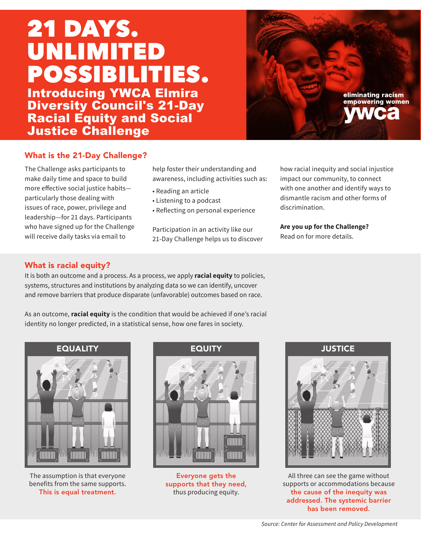## 21 DAYS. UNLIMITED POSSIBILITIES. Introducing YWCA Elmira

Diversity Council's 21-Day Racial Equity and Social **Justice Challenge** 

## What is the 21-Day Challenge?

The Challenge asks participants to make daily time and space to build more effective social justice habits particularly those dealing with issues of race, power, privilege and leadership—for 21 days. Participants who have signed up for the Challenge will receive daily tasks via email to

help foster their understanding and awareness, including activities such as:

- Reading an article
- Listening to a podcast
- Reflecting on personal experience

Participation in an activity like our 21-Day Challenge helps us to discover how racial inequity and social injustice impact our community, to connect with one another and identify ways to dismantle racism and other forms of discrimination.

eliminating racism empowering women

**Are you up for the Challenge?** Read on for more details.

### What is racial equity?

It is both an outcome and a process. As a process, we apply **racial equity** to policies, systems, structures and institutions by analyzing data so we can identify, uncover and remove barriers that produce disparate (unfavorable) outcomes based on race.

As an outcome, **racial equity** is the condition that would be achieved if one's racial identity no longer predicted, in a statistical sense, how one fares in society.

EQUALITY



The assumption is that everyone benefits from the same supports. This is equal treatment.

Everyone gets the supports that they need, thus producing equity.



All three can see the game without supports or accommodations because the cause of the inequity was addressed. The systemic barrier has been removed.